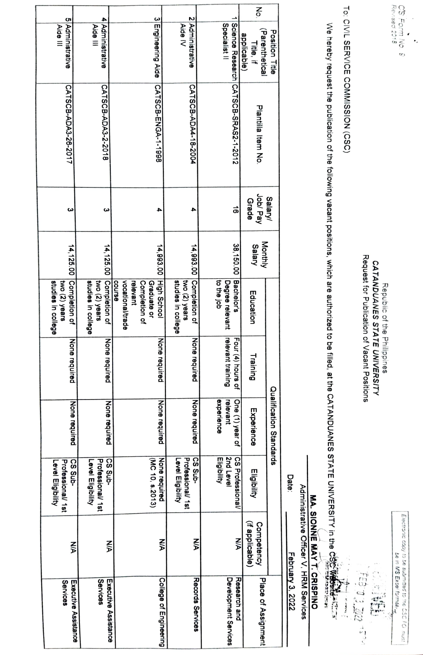|                                                                 |                                                                 |                                                                                       |                                                      |                                                     | ξò                                                           |                  |
|-----------------------------------------------------------------|-----------------------------------------------------------------|---------------------------------------------------------------------------------------|------------------------------------------------------|-----------------------------------------------------|--------------------------------------------------------------|------------------|
| 5 Administrative<br>Aide III                                    | 4 Administrative<br>Aide III                                    | 3 Engineering Aide                                                                    | 2 Administrative<br>Aide IV                          | Specialist II                                       | (Parenthetical<br>Position Title<br>applicable)<br>Title, if |                  |
| CATSCB-ADA3-26-2017                                             | CATSCB-ADA3-2-2018                                              | CATSCB-ENGA-1-1998                                                                    | CATSCB-ADA4-18-2004                                  | Science Research CATSCB-SRAS2-1-2012                | Plantilla Item No.                                           |                  |
| ω                                                               | ω                                                               |                                                                                       |                                                      | ಹ                                                   | Job/Pay<br>Salary/<br>Grade                                  |                  |
|                                                                 |                                                                 | 14,993.00                                                                             | 14,993.00                                            | 38,150.00                                           | Monthly<br>Salary                                            |                  |
| 14, 125.00 Completion of<br>two (2) years<br>studies in college | 14, 125.00 Completion of<br>studies in college<br>two (2) years | High School<br>vocational/trade<br>Completion of<br>course<br>relevant<br>Graduate or | Completion of<br>studies in college<br>two (2) years | Bachelor's<br>to the job<br>Degree relevant         | Education                                                    |                  |
| None require<br>ಒ                                               | None required                                                   | None required                                                                         | None required                                        | relevant training<br>Four (4) hours of              | Training                                                     |                  |
| None required                                                   | None required                                                   | None required                                                                         | None required                                        | experience<br>One (1) year of<br>relevant           | Qualification Standards<br>Experience                        |                  |
| CS Sub-<br>Professional/ 1st<br>Level Eligibility               | -qnS SO<br>Professional/ 1st<br>Level Eligibility               | None required<br>(MC 10, s.2013)                                                      | CS Sub-<br>Professional/ 1st<br>Level Eligibility    | 2nd Level<br><b>CS Professional/</b><br>Eligibility | Eligibility                                                  | <b>Date:</b>     |
| <b>NA</b>                                                       | <b>NA</b>                                                       | ⋚                                                                                     | ⋚                                                    | WA                                                  | (if applicable)<br>Competency                                |                  |
| Services<br>Executive Assistance                                | Services<br>Executive Assistance                                | College of Engineering                                                                | Records Services                                     | Development Services<br>Research and                | Place of Assignment                                          | February 3, 2022 |

Request for Publication of Vacant Positions Request for Publication of Vacant Positions Republic of the Philippines<br>CATANDUANES STATE UNIVERSITY CATANDUANES STATE UNIVERS/TY Repubiic of the Philippines

TO: CIVIL SERVICE COMMISSION (CSC) To: CIVIL SERVICE COMMISSION (CSC)

We hereby request the publication of the following vacant positions, which are authorized to be filled, at the CATANDUANES STATE UNIVERSITY in the CSC Website, and the communication of the communication of the communicati We hereby request the publication of the following vacant positions, which are authorized to be filled, at the CATANDUANES STATE UNIVERSITY in the cs<br>We hereby request the publication of the following vacant positions, wh

MA. SIONNE MAY T. CRISPINO **MA. SIONNE MAY T. CRISPINO** 

Administrative Officer V, HRM Services Administrative Officer V, HRM Services

Eiectroic copy to be subrmittecC o tne CSC FO nust be in MS Excei fombt

be in MS Excel formating

FEB DJ DOD 1500  $\mathbb{P}^+$  -keeps  $\mathbb{P}$ 

Electronic copy to be submitted to the CSC FO must

CS Form No. 9<br>Revised 2018 revised 2018 cS Form No s